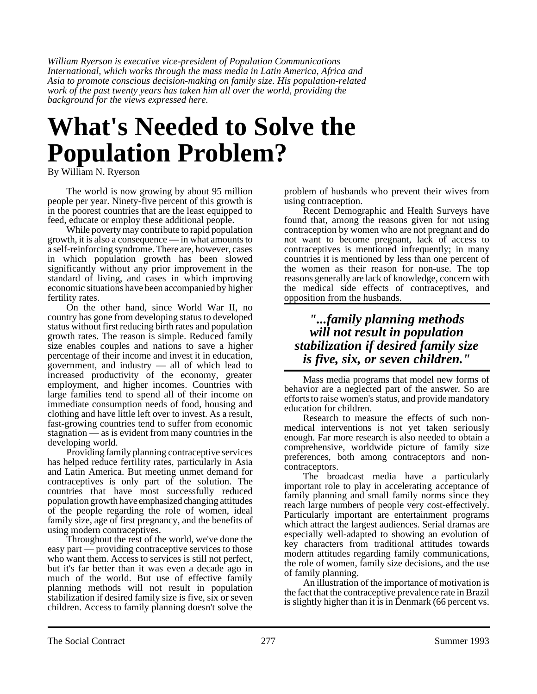*William Ryerson is executive vice-president of Population Communications International, which works through the mass media in Latin America, Africa and Asia to promote conscious decision-making on family size. His population-related work of the past twenty years has taken him all over the world, providing the background for the views expressed here.*

## **What's Needed to Solve the Population Problem?**

By William N. Ryerson

The world is now growing by about 95 million people per year. Ninety-five percent of this growth is in the poorest countries that are the least equipped to feed, educate or employ these additional people.

While poverty may contribute to rapid population growth, it is also a consequence — in what amounts to a self-reinforcing syndrome. There are, however, cases in which population growth has been slowed significantly without any prior improvement in the standard of living, and cases in which improving economic situations have been accompanied by higher fertility rates.

On the other hand, since World War II, no country has gone from developing status to developed status without first reducing birth rates and population growth rates. The reason is simple. Reduced family size enables couples and nations to save a higher percentage of their income and invest it in education, government, and industry — all of which lead to increased productivity of the economy, greater employment, and higher incomes. Countries with large families tend to spend all of their income on immediate consumption needs of food, housing and clothing and have little left over to invest. As a result, fast-growing countries tend to suffer from economic stagnation — as is evident from many countries in the developing world.

Providing family planning contraceptive services has helped reduce fertility rates, particularly in Asia and Latin America. But meeting unmet demand for contraceptives is only part of the solution. The countries that have most successfully reduced population growth have emphasized changing attitudes of the people regarding the role of women, ideal family size, age of first pregnancy, and the benefits of using modern contraceptives.

Throughout the rest of the world, we've done the easy part — providing contraceptive services to those who want them. Access to services is still not perfect, but it's far better than it was even a decade ago in much of the world. But use of effective family planning methods will not result in population stabilization if desired family size is five, six or seven children. Access to family planning doesn't solve the problem of husbands who prevent their wives from using contraception.

Recent Demographic and Health Surveys have found that, among the reasons given for not using contraception by women who are not pregnant and do not want to become pregnant, lack of access to contraceptives is mentioned infrequently; in many countries it is mentioned by less than one percent of the women as their reason for non-use. The top reasons generally are lack of knowledge, concern with the medical side effects of contraceptives, and opposition from the husbands.

## *"...family planning methods will not result in population stabilization if desired family size is five, six, or seven children."*

Mass media programs that model new forms of behavior are a neglected part of the answer. So are efforts to raise women's status, and provide mandatory education for children.

Research to measure the effects of such nonmedical interventions is not yet taken seriously enough. Far more research is also needed to obtain a comprehensive, worldwide picture of family size preferences, both among contraceptors and noncontraceptors.

The broadcast media have a particularly important role to play in accelerating acceptance of family planning and small family norms since they reach large numbers of people very cost-effectively. Particularly important are entertainment programs which attract the largest audiences. Serial dramas are especially well-adapted to showing an evolution of key characters from traditional attitudes towards modern attitudes regarding family communications, the role of women, family size decisions, and the use of family planning.

An illustration of the importance of motivation is the fact that the contraceptive prevalence rate in Brazil is slightly higher than it is in Denmark (66 percent vs.